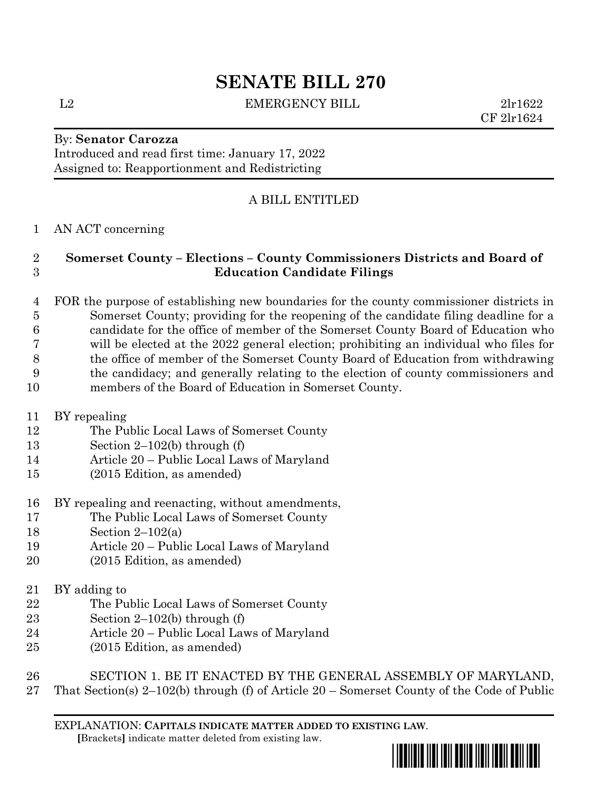# **SENATE BILL 270**

L2 EMERGENCY BILL 2lr1622

CF 2lr1624

### By: **Senator Carozza** Introduced and read first time: January 17, 2022

Assigned to: Reapportionment and Redistricting

## A BILL ENTITLED

## AN ACT concerning

## **Somerset County – Elections – County Commissioners Districts and Board of Education Candidate Filings**

 FOR the purpose of establishing new boundaries for the county commissioner districts in Somerset County; providing for the reopening of the candidate filing deadline for a candidate for the office of member of the Somerset County Board of Education who will be elected at the 2022 general election; prohibiting an individual who files for the office of member of the Somerset County Board of Education from withdrawing the candidacy; and generally relating to the election of county commissioners and members of the Board of Education in Somerset County.

- BY repealing
- The Public Local Laws of Somerset County
- Section 2–102(b) through (f)
- Article 20 Public Local Laws of Maryland
- (2015 Edition, as amended)
- BY repealing and reenacting, without amendments,
- The Public Local Laws of Somerset County
- Section 2–102(a)
- Article 20 Public Local Laws of Maryland
- (2015 Edition, as amended)
- BY adding to
- The Public Local Laws of Somerset County
- Section 2–102(b) through (f)
- Article 20 Public Local Laws of Maryland
- (2015 Edition, as amended)

 SECTION 1. BE IT ENACTED BY THE GENERAL ASSEMBLY OF MARYLAND, That Section(s) 2–102(b) through (f) of Article 20 – Somerset County of the Code of Public

EXPLANATION: **CAPITALS INDICATE MATTER ADDED TO EXISTING LAW**.  **[**Brackets**]** indicate matter deleted from existing law.

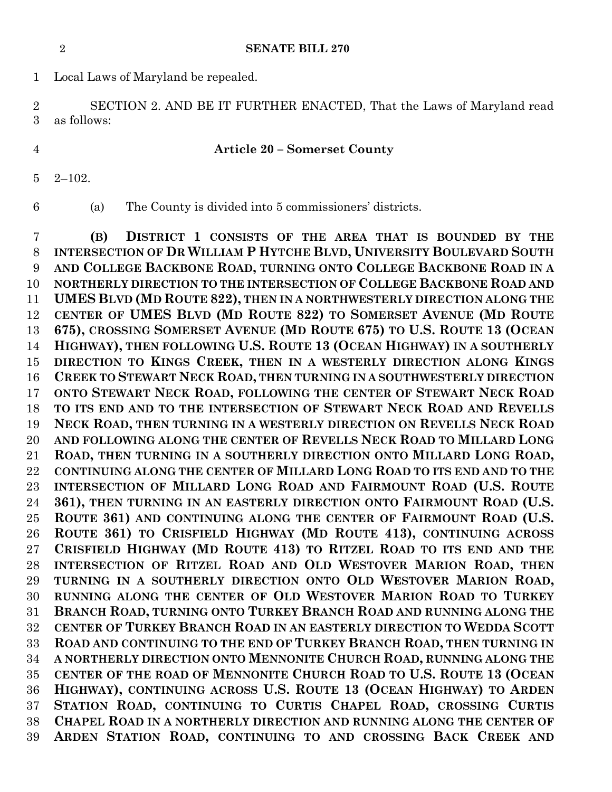**SENATE BILL 270**

Local Laws of Maryland be repealed.

 SECTION 2. AND BE IT FURTHER ENACTED, That the Laws of Maryland read as follows:

#### **Article 20 – Somerset County**

- 2–102.
- 

(a) The County is divided into 5 commissioners' districts.

 **(B) DISTRICT 1 CONSISTS OF THE AREA THAT IS BOUNDED BY THE INTERSECTION OF DR WILLIAM P HYTCHE BLVD, UNIVERSITY BOULEVARD SOUTH AND COLLEGE BACKBONE ROAD, TURNING ONTO COLLEGE BACKBONE ROAD IN A NORTHERLY DIRECTION TO THE INTERSECTION OF COLLEGE BACKBONE ROAD AND UMES BLVD (MD ROUTE 822), THEN IN A NORTHWESTERLY DIRECTION ALONG THE CENTER OF UMES BLVD (MD ROUTE 822) TO SOMERSET AVENUE (MD ROUTE 675), CROSSING SOMERSET AVENUE (MD ROUTE 675) TO U.S. ROUTE 13 (OCEAN HIGHWAY), THEN FOLLOWING U.S. ROUTE 13 (OCEAN HIGHWAY) IN A SOUTHERLY DIRECTION TO KINGS CREEK, THEN IN A WESTERLY DIRECTION ALONG KINGS CREEK TO STEWART NECK ROAD, THEN TURNING IN A SOUTHWESTERLY DIRECTION ONTO STEWART NECK ROAD, FOLLOWING THE CENTER OF STEWART NECK ROAD TO ITS END AND TO THE INTERSECTION OF STEWART NECK ROAD AND REVELLS NECK ROAD, THEN TURNING IN A WESTERLY DIRECTION ON REVELLS NECK ROAD AND FOLLOWING ALONG THE CENTER OF REVELLS NECK ROAD TO MILLARD LONG ROAD, THEN TURNING IN A SOUTHERLY DIRECTION ONTO MILLARD LONG ROAD, CONTINUING ALONG THE CENTER OF MILLARD LONG ROAD TO ITS END AND TO THE INTERSECTION OF MILLARD LONG ROAD AND FAIRMOUNT ROAD (U.S. ROUTE 361), THEN TURNING IN AN EASTERLY DIRECTION ONTO FAIRMOUNT ROAD (U.S. ROUTE 361) AND CONTINUING ALONG THE CENTER OF FAIRMOUNT ROAD (U.S. ROUTE 361) TO CRISFIELD HIGHWAY (MD ROUTE 413), CONTINUING ACROSS CRISFIELD HIGHWAY (MD ROUTE 413) TO RITZEL ROAD TO ITS END AND THE INTERSECTION OF RITZEL ROAD AND OLD WESTOVER MARION ROAD, THEN TURNING IN A SOUTHERLY DIRECTION ONTO OLD WESTOVER MARION ROAD, RUNNING ALONG THE CENTER OF OLD WESTOVER MARION ROAD TO TURKEY BRANCH ROAD, TURNING ONTO TURKEY BRANCH ROAD AND RUNNING ALONG THE CENTER OF TURKEY BRANCH ROAD IN AN EASTERLY DIRECTION TO WEDDA SCOTT ROAD AND CONTINUING TO THE END OF TURKEY BRANCH ROAD, THEN TURNING IN A NORTHERLY DIRECTION ONTO MENNONITE CHURCH ROAD, RUNNING ALONG THE CENTER OF THE ROAD OF MENNONITE CHURCH ROAD TO U.S. ROUTE 13 (OCEAN HIGHWAY), CONTINUING ACROSS U.S. ROUTE 13 (OCEAN HIGHWAY) TO ARDEN STATION ROAD, CONTINUING TO CURTIS CHAPEL ROAD, CROSSING CURTIS CHAPEL ROAD IN A NORTHERLY DIRECTION AND RUNNING ALONG THE CENTER OF ARDEN STATION ROAD, CONTINUING TO AND CROSSING BACK CREEK AND**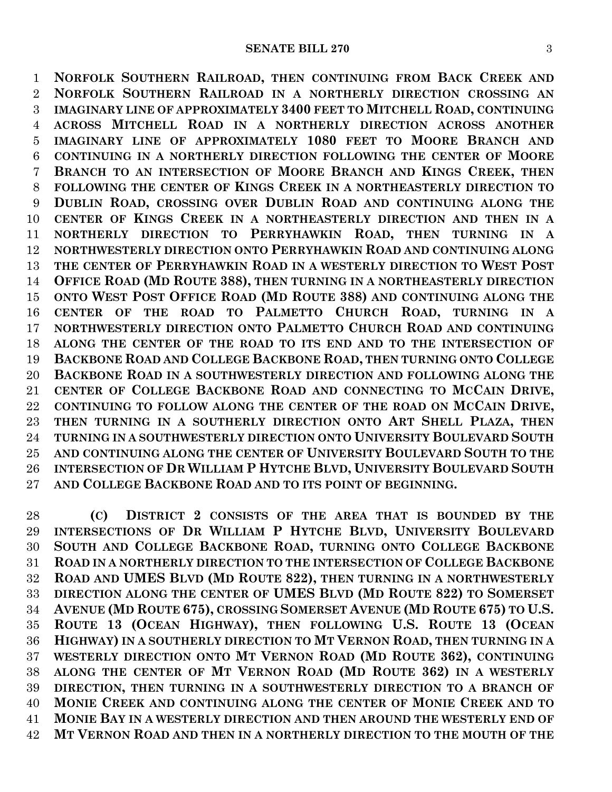**NORFOLK SOUTHERN RAILROAD, THEN CONTINUING FROM BACK CREEK AND NORFOLK SOUTHERN RAILROAD IN A NORTHERLY DIRECTION CROSSING AN IMAGINARY LINE OF APPROXIMATELY 3400 FEET TO MITCHELL ROAD, CONTINUING ACROSS MITCHELL ROAD IN A NORTHERLY DIRECTION ACROSS ANOTHER IMAGINARY LINE OF APPROXIMATELY 1080 FEET TO MOORE BRANCH AND CONTINUING IN A NORTHERLY DIRECTION FOLLOWING THE CENTER OF MOORE BRANCH TO AN INTERSECTION OF MOORE BRANCH AND KINGS CREEK, THEN FOLLOWING THE CENTER OF KINGS CREEK IN A NORTHEASTERLY DIRECTION TO DUBLIN ROAD, CROSSING OVER DUBLIN ROAD AND CONTINUING ALONG THE CENTER OF KINGS CREEK IN A NORTHEASTERLY DIRECTION AND THEN IN A NORTHERLY DIRECTION TO PERRYHAWKIN ROAD, THEN TURNING IN A NORTHWESTERLY DIRECTION ONTO PERRYHAWKIN ROAD AND CONTINUING ALONG THE CENTER OF PERRYHAWKIN ROAD IN A WESTERLY DIRECTION TO WEST POST OFFICE ROAD (MD ROUTE 388), THEN TURNING IN A NORTHEASTERLY DIRECTION ONTO WEST POST OFFICE ROAD (MD ROUTE 388) AND CONTINUING ALONG THE CENTER OF THE ROAD TO PALMETTO CHURCH ROAD, TURNING IN A NORTHWESTERLY DIRECTION ONTO PALMETTO CHURCH ROAD AND CONTINUING ALONG THE CENTER OF THE ROAD TO ITS END AND TO THE INTERSECTION OF BACKBONE ROAD AND COLLEGE BACKBONE ROAD, THEN TURNING ONTO COLLEGE BACKBONE ROAD IN A SOUTHWESTERLY DIRECTION AND FOLLOWING ALONG THE CENTER OF COLLEGE BACKBONE ROAD AND CONNECTING TO MCCAIN DRIVE, CONTINUING TO FOLLOW ALONG THE CENTER OF THE ROAD ON MCCAIN DRIVE, THEN TURNING IN A SOUTHERLY DIRECTION ONTO ART SHELL PLAZA, THEN TURNING IN A SOUTHWESTERLY DIRECTION ONTO UNIVERSITY BOULEVARD SOUTH AND CONTINUING ALONG THE CENTER OF UNIVERSITY BOULEVARD SOUTH TO THE INTERSECTION OF DR WILLIAM P HYTCHE BLVD, UNIVERSITY BOULEVARD SOUTH AND COLLEGE BACKBONE ROAD AND TO ITS POINT OF BEGINNING.**

 **(C) DISTRICT 2 CONSISTS OF THE AREA THAT IS BOUNDED BY THE INTERSECTIONS OF DR WILLIAM P HYTCHE BLVD, UNIVERSITY BOULEVARD SOUTH AND COLLEGE BACKBONE ROAD, TURNING ONTO COLLEGE BACKBONE ROAD IN A NORTHERLY DIRECTION TO THE INTERSECTION OF COLLEGE BACKBONE ROAD AND UMES BLVD (MD ROUTE 822), THEN TURNING IN A NORTHWESTERLY DIRECTION ALONG THE CENTER OF UMES BLVD (MD ROUTE 822) TO SOMERSET AVENUE (MD ROUTE 675), CROSSING SOMERSET AVENUE (MD ROUTE 675) TO U.S. ROUTE 13 (OCEAN HIGHWAY), THEN FOLLOWING U.S. ROUTE 13 (OCEAN HIGHWAY) IN A SOUTHERLY DIRECTION TO MT VERNON ROAD, THEN TURNING IN A WESTERLY DIRECTION ONTO MT VERNON ROAD (MD ROUTE 362), CONTINUING ALONG THE CENTER OF MT VERNON ROAD (MD ROUTE 362) IN A WESTERLY DIRECTION, THEN TURNING IN A SOUTHWESTERLY DIRECTION TO A BRANCH OF MONIE CREEK AND CONTINUING ALONG THE CENTER OF MONIE CREEK AND TO MONIE BAY IN A WESTERLY DIRECTION AND THEN AROUND THE WESTERLY END OF MT VERNON ROAD AND THEN IN A NORTHERLY DIRECTION TO THE MOUTH OF THE**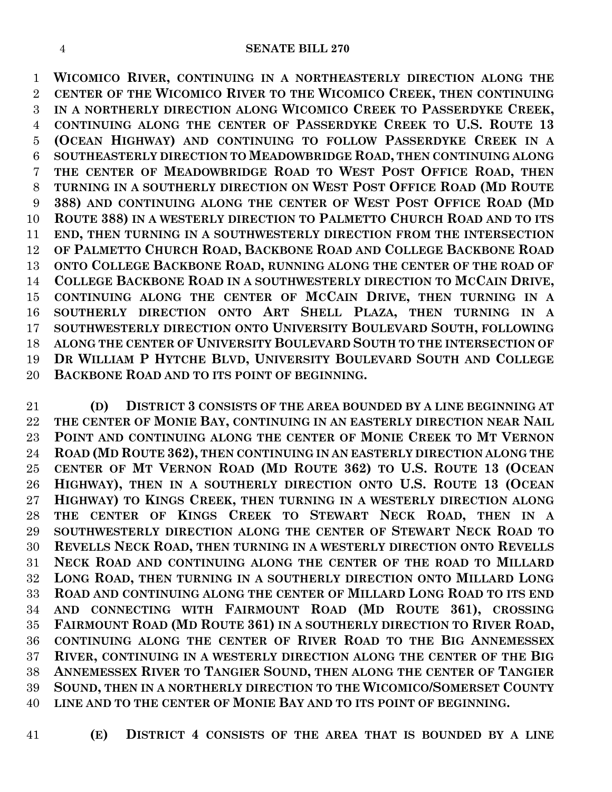**WICOMICO RIVER, CONTINUING IN A NORTHEASTERLY DIRECTION ALONG THE CENTER OF THE WICOMICO RIVER TO THE WICOMICO CREEK, THEN CONTINUING IN A NORTHERLY DIRECTION ALONG WICOMICO CREEK TO PASSERDYKE CREEK, CONTINUING ALONG THE CENTER OF PASSERDYKE CREEK TO U.S. ROUTE 13 (OCEAN HIGHWAY) AND CONTINUING TO FOLLOW PASSERDYKE CREEK IN A SOUTHEASTERLY DIRECTION TO MEADOWBRIDGE ROAD, THEN CONTINUING ALONG THE CENTER OF MEADOWBRIDGE ROAD TO WEST POST OFFICE ROAD, THEN TURNING IN A SOUTHERLY DIRECTION ON WEST POST OFFICE ROAD (MD ROUTE 388) AND CONTINUING ALONG THE CENTER OF WEST POST OFFICE ROAD (MD ROUTE 388) IN A WESTERLY DIRECTION TO PALMETTO CHURCH ROAD AND TO ITS END, THEN TURNING IN A SOUTHWESTERLY DIRECTION FROM THE INTERSECTION OF PALMETTO CHURCH ROAD, BACKBONE ROAD AND COLLEGE BACKBONE ROAD ONTO COLLEGE BACKBONE ROAD, RUNNING ALONG THE CENTER OF THE ROAD OF COLLEGE BACKBONE ROAD IN A SOUTHWESTERLY DIRECTION TO MCCAIN DRIVE, CONTINUING ALONG THE CENTER OF MCCAIN DRIVE, THEN TURNING IN A SOUTHERLY DIRECTION ONTO ART SHELL PLAZA, THEN TURNING IN A SOUTHWESTERLY DIRECTION ONTO UNIVERSITY BOULEVARD SOUTH, FOLLOWING ALONG THE CENTER OF UNIVERSITY BOULEVARD SOUTH TO THE INTERSECTION OF DR WILLIAM P HYTCHE BLVD, UNIVERSITY BOULEVARD SOUTH AND COLLEGE BACKBONE ROAD AND TO ITS POINT OF BEGINNING.**

 **(D) DISTRICT 3 CONSISTS OF THE AREA BOUNDED BY A LINE BEGINNING AT THE CENTER OF MONIE BAY, CONTINUING IN AN EASTERLY DIRECTION NEAR NAIL POINT AND CONTINUING ALONG THE CENTER OF MONIE CREEK TO MT VERNON ROAD (MD ROUTE 362), THEN CONTINUING IN AN EASTERLY DIRECTION ALONG THE CENTER OF MT VERNON ROAD (MD ROUTE 362) TO U.S. ROUTE 13 (OCEAN HIGHWAY), THEN IN A SOUTHERLY DIRECTION ONTO U.S. ROUTE 13 (OCEAN HIGHWAY) TO KINGS CREEK, THEN TURNING IN A WESTERLY DIRECTION ALONG THE CENTER OF KINGS CREEK TO STEWART NECK ROAD, THEN IN A SOUTHWESTERLY DIRECTION ALONG THE CENTER OF STEWART NECK ROAD TO REVELLS NECK ROAD, THEN TURNING IN A WESTERLY DIRECTION ONTO REVELLS NECK ROAD AND CONTINUING ALONG THE CENTER OF THE ROAD TO MILLARD LONG ROAD, THEN TURNING IN A SOUTHERLY DIRECTION ONTO MILLARD LONG ROAD AND CONTINUING ALONG THE CENTER OF MILLARD LONG ROAD TO ITS END AND CONNECTING WITH FAIRMOUNT ROAD (MD ROUTE 361), CROSSING FAIRMOUNT ROAD (MD ROUTE 361) IN A SOUTHERLY DIRECTION TO RIVER ROAD, CONTINUING ALONG THE CENTER OF RIVER ROAD TO THE BIG ANNEMESSEX RIVER, CONTINUING IN A WESTERLY DIRECTION ALONG THE CENTER OF THE BIG ANNEMESSEX RIVER TO TANGIER SOUND, THEN ALONG THE CENTER OF TANGIER SOUND, THEN IN A NORTHERLY DIRECTION TO THE WICOMICO/SOMERSET COUNTY LINE AND TO THE CENTER OF MONIE BAY AND TO ITS POINT OF BEGINNING.**

- 
- **(E) DISTRICT 4 CONSISTS OF THE AREA THAT IS BOUNDED BY A LINE**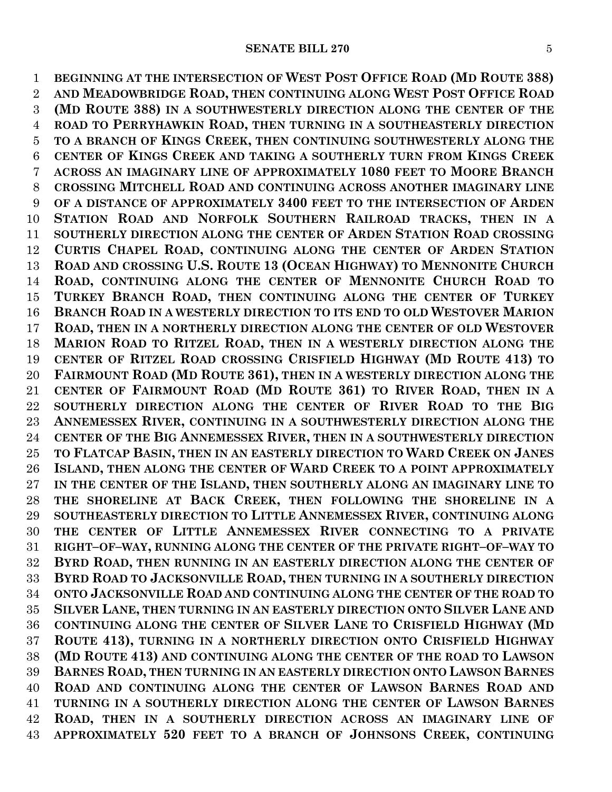**BEGINNING AT THE INTERSECTION OF WEST POST OFFICE ROAD (MD ROUTE 388) AND MEADOWBRIDGE ROAD, THEN CONTINUING ALONG WEST POST OFFICE ROAD (MD ROUTE 388) IN A SOUTHWESTERLY DIRECTION ALONG THE CENTER OF THE ROAD TO PERRYHAWKIN ROAD, THEN TURNING IN A SOUTHEASTERLY DIRECTION TO A BRANCH OF KINGS CREEK, THEN CONTINUING SOUTHWESTERLY ALONG THE CENTER OF KINGS CREEK AND TAKING A SOUTHERLY TURN FROM KINGS CREEK ACROSS AN IMAGINARY LINE OF APPROXIMATELY 1080 FEET TO MOORE BRANCH CROSSING MITCHELL ROAD AND CONTINUING ACROSS ANOTHER IMAGINARY LINE OF A DISTANCE OF APPROXIMATELY 3400 FEET TO THE INTERSECTION OF ARDEN STATION ROAD AND NORFOLK SOUTHERN RAILROAD TRACKS, THEN IN A SOUTHERLY DIRECTION ALONG THE CENTER OF ARDEN STATION ROAD CROSSING CURTIS CHAPEL ROAD, CONTINUING ALONG THE CENTER OF ARDEN STATION ROAD AND CROSSING U.S. ROUTE 13 (OCEAN HIGHWAY) TO MENNONITE CHURCH ROAD, CONTINUING ALONG THE CENTER OF MENNONITE CHURCH ROAD TO TURKEY BRANCH ROAD, THEN CONTINUING ALONG THE CENTER OF TURKEY BRANCH ROAD IN A WESTERLY DIRECTION TO ITS END TO OLD WESTOVER MARION ROAD, THEN IN A NORTHERLY DIRECTION ALONG THE CENTER OF OLD WESTOVER MARION ROAD TO RITZEL ROAD, THEN IN A WESTERLY DIRECTION ALONG THE CENTER OF RITZEL ROAD CROSSING CRISFIELD HIGHWAY (MD ROUTE 413) TO FAIRMOUNT ROAD (MD ROUTE 361), THEN IN A WESTERLY DIRECTION ALONG THE CENTER OF FAIRMOUNT ROAD (MD ROUTE 361) TO RIVER ROAD, THEN IN A SOUTHERLY DIRECTION ALONG THE CENTER OF RIVER ROAD TO THE BIG ANNEMESSEX RIVER, CONTINUING IN A SOUTHWESTERLY DIRECTION ALONG THE CENTER OF THE BIG ANNEMESSEX RIVER, THEN IN A SOUTHWESTERLY DIRECTION TO FLATCAP BASIN, THEN IN AN EASTERLY DIRECTION TO WARD CREEK ON JANES ISLAND, THEN ALONG THE CENTER OF WARD CREEK TO A POINT APPROXIMATELY IN THE CENTER OF THE ISLAND, THEN SOUTHERLY ALONG AN IMAGINARY LINE TO THE SHORELINE AT BACK CREEK, THEN FOLLOWING THE SHORELINE IN A SOUTHEASTERLY DIRECTION TO LITTLE ANNEMESSEX RIVER, CONTINUING ALONG THE CENTER OF LITTLE ANNEMESSEX RIVER CONNECTING TO A PRIVATE RIGHT–OF–WAY, RUNNING ALONG THE CENTER OF THE PRIVATE RIGHT–OF–WAY TO BYRD ROAD, THEN RUNNING IN AN EASTERLY DIRECTION ALONG THE CENTER OF BYRD ROAD TO JACKSONVILLE ROAD, THEN TURNING IN A SOUTHERLY DIRECTION ONTO JACKSONVILLE ROAD AND CONTINUING ALONG THE CENTER OF THE ROAD TO SILVER LANE, THEN TURNING IN AN EASTERLY DIRECTION ONTO SILVER LANE AND CONTINUING ALONG THE CENTER OF SILVER LANE TO CRISFIELD HIGHWAY (MD ROUTE 413), TURNING IN A NORTHERLY DIRECTION ONTO CRISFIELD HIGHWAY (MD ROUTE 413) AND CONTINUING ALONG THE CENTER OF THE ROAD TO LAWSON BARNES ROAD, THEN TURNING IN AN EASTERLY DIRECTION ONTO LAWSON BARNES ROAD AND CONTINUING ALONG THE CENTER OF LAWSON BARNES ROAD AND TURNING IN A SOUTHERLY DIRECTION ALONG THE CENTER OF LAWSON BARNES ROAD, THEN IN A SOUTHERLY DIRECTION ACROSS AN IMAGINARY LINE OF APPROXIMATELY 520 FEET TO A BRANCH OF JOHNSONS CREEK, CONTINUING**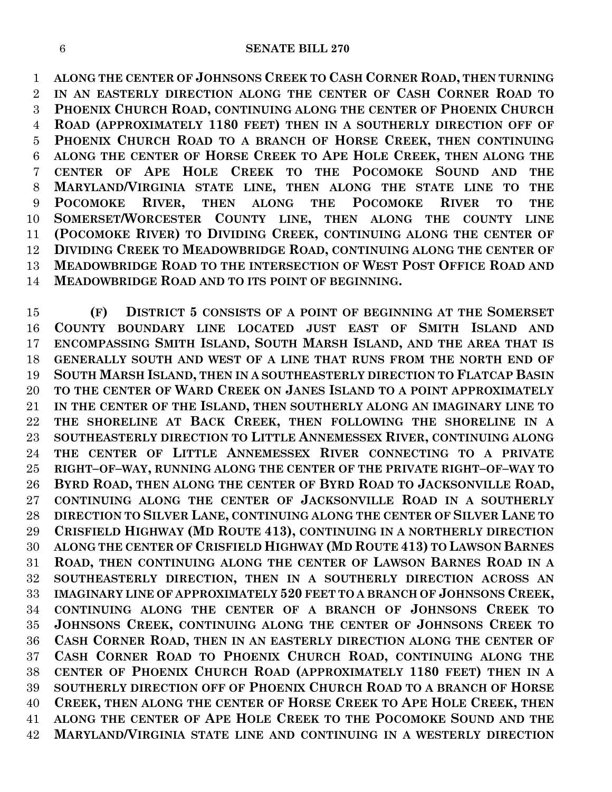**ALONG THE CENTER OF JOHNSONS CREEK TO CASH CORNER ROAD, THEN TURNING IN AN EASTERLY DIRECTION ALONG THE CENTER OF CASH CORNER ROAD TO PHOENIX CHURCH ROAD, CONTINUING ALONG THE CENTER OF PHOENIX CHURCH ROAD (APPROXIMATELY 1180 FEET) THEN IN A SOUTHERLY DIRECTION OFF OF PHOENIX CHURCH ROAD TO A BRANCH OF HORSE CREEK, THEN CONTINUING ALONG THE CENTER OF HORSE CREEK TO APE HOLE CREEK, THEN ALONG THE CENTER OF APE HOLE CREEK TO THE POCOMOKE SOUND AND THE MARYLAND/VIRGINIA STATE LINE, THEN ALONG THE STATE LINE TO THE POCOMOKE RIVER, THEN ALONG THE POCOMOKE RIVER TO THE SOMERSET/WORCESTER COUNTY LINE, THEN ALONG THE COUNTY LINE (POCOMOKE RIVER) TO DIVIDING CREEK, CONTINUING ALONG THE CENTER OF DIVIDING CREEK TO MEADOWBRIDGE ROAD, CONTINUING ALONG THE CENTER OF MEADOWBRIDGE ROAD TO THE INTERSECTION OF WEST POST OFFICE ROAD AND MEADOWBRIDGE ROAD AND TO ITS POINT OF BEGINNING.**

 **(F) DISTRICT 5 CONSISTS OF A POINT OF BEGINNING AT THE SOMERSET COUNTY BOUNDARY LINE LOCATED JUST EAST OF SMITH ISLAND AND ENCOMPASSING SMITH ISLAND, SOUTH MARSH ISLAND, AND THE AREA THAT IS GENERALLY SOUTH AND WEST OF A LINE THAT RUNS FROM THE NORTH END OF SOUTH MARSH ISLAND, THEN IN A SOUTHEASTERLY DIRECTION TO FLATCAP BASIN TO THE CENTER OF WARD CREEK ON JANES ISLAND TO A POINT APPROXIMATELY IN THE CENTER OF THE ISLAND, THEN SOUTHERLY ALONG AN IMAGINARY LINE TO THE SHORELINE AT BACK CREEK, THEN FOLLOWING THE SHORELINE IN A SOUTHEASTERLY DIRECTION TO LITTLE ANNEMESSEX RIVER, CONTINUING ALONG THE CENTER OF LITTLE ANNEMESSEX RIVER CONNECTING TO A PRIVATE RIGHT–OF–WAY, RUNNING ALONG THE CENTER OF THE PRIVATE RIGHT–OF–WAY TO BYRD ROAD, THEN ALONG THE CENTER OF BYRD ROAD TO JACKSONVILLE ROAD, CONTINUING ALONG THE CENTER OF JACKSONVILLE ROAD IN A SOUTHERLY DIRECTION TO SILVER LANE, CONTINUING ALONG THE CENTER OF SILVER LANE TO CRISFIELD HIGHWAY (MD ROUTE 413), CONTINUING IN A NORTHERLY DIRECTION ALONG THE CENTER OF CRISFIELD HIGHWAY (MD ROUTE 413) TO LAWSON BARNES ROAD, THEN CONTINUING ALONG THE CENTER OF LAWSON BARNES ROAD IN A SOUTHEASTERLY DIRECTION, THEN IN A SOUTHERLY DIRECTION ACROSS AN IMAGINARY LINE OF APPROXIMATELY 520 FEET TO A BRANCH OF JOHNSONS CREEK, CONTINUING ALONG THE CENTER OF A BRANCH OF JOHNSONS CREEK TO JOHNSONS CREEK, CONTINUING ALONG THE CENTER OF JOHNSONS CREEK TO CASH CORNER ROAD, THEN IN AN EASTERLY DIRECTION ALONG THE CENTER OF CASH CORNER ROAD TO PHOENIX CHURCH ROAD, CONTINUING ALONG THE CENTER OF PHOENIX CHURCH ROAD (APPROXIMATELY 1180 FEET) THEN IN A SOUTHERLY DIRECTION OFF OF PHOENIX CHURCH ROAD TO A BRANCH OF HORSE CREEK, THEN ALONG THE CENTER OF HORSE CREEK TO APE HOLE CREEK, THEN ALONG THE CENTER OF APE HOLE CREEK TO THE POCOMOKE SOUND AND THE MARYLAND/VIRGINIA STATE LINE AND CONTINUING IN A WESTERLY DIRECTION**